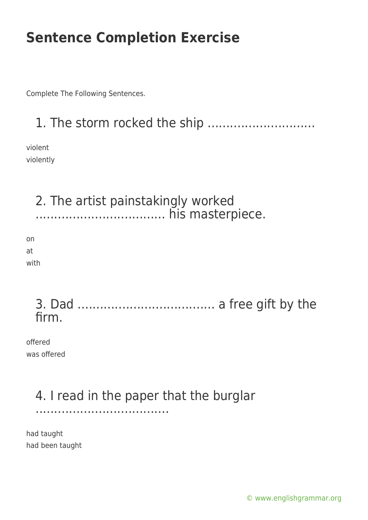Complete The Following Sentences.

1. The storm rocked the ship .............................

violent violently

2. The artist painstakingly worked ................................... his masterpiece. on at with

3. Dad ..................................... a free gift by the firm.

offered was offered

# 4. I read in the paper that the burglar

....................................

had taught had been taught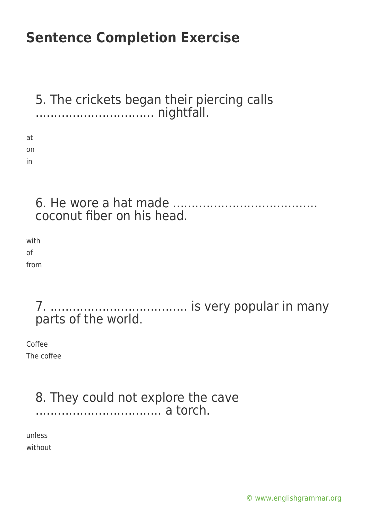5. The crickets began their piercing calls ................................ nightfall. at on in

6. He wore a hat made ....................................... coconut fiber on his head.

with of from

> 7. ..................................... is very popular in many parts of the world.

Coffee The coffee

#### 8. They could not explore the cave .................................. a torch.

unless without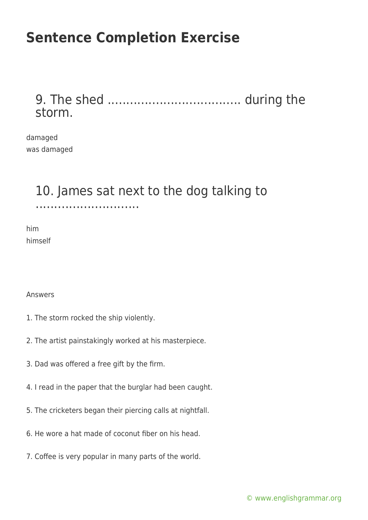#### 9. The shed .................................... during the storm.

damaged was damaged

### 10. James sat next to the dog talking to

............................

him himself

Answers

- 1. The storm rocked the ship violently.
- 2. The artist painstakingly worked at his masterpiece.
- 3. Dad was offered a free gift by the firm.
- 4. I read in the paper that the burglar had been caught.
- 5. The cricketers began their piercing calls at nightfall.
- 6. He wore a hat made of coconut fiber on his head.
- 7. Coffee is very popular in many parts of the world.